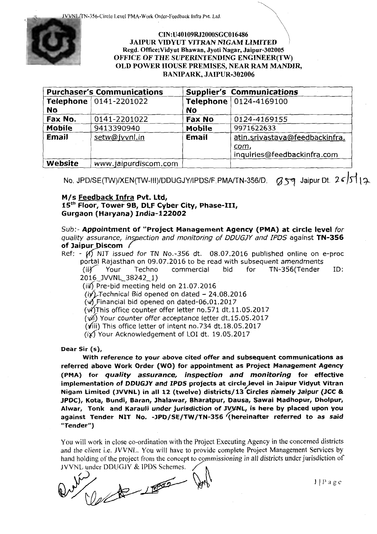JVVNLffN-356-Circle Level PMA-Work Order-Feedback Infra Pvt. Ltd.



# CIN:U40109RJ2000SGC016486 JAIPUR VIDYUT VITRAN NIGAM LIMITED Regd. Office;Vidyut Bhawan, Jyoti Nagar, Jaipur-302005 OFFICE OF THE SUPERINTENDING ENGINEER(TW) OLD POWER HOUSE PREMISES, NEAR RAM MANDIR, BANIPARK, JAIPUR-302006

|               | <b>Purchaser's Communications</b> |               | <b>Supplier's Communications</b> |
|---------------|-----------------------------------|---------------|----------------------------------|
|               | Telephone   0141-2201022          |               | Telephone   0124-4169100         |
| No            |                                   | <b>No</b>     |                                  |
| Fax No.       | 0141-2201022                      | Fax No        | 0124-4169155                     |
| <b>Mobile</b> | 9413390940                        | <b>Mobile</b> | 9971622633                       |
| <b>Email</b>  | setw@jvvnl.in                     | <b>Email</b>  | atin.srivastava@feedbackinfra.   |
|               |                                   |               | com,                             |
|               |                                   |               | inquiries@feedbackinfra.com      |
| Website       | www.jaipurdiscom.com              |               |                                  |

No. JPD/SE(TW)/XEN(TW-III)/DDUGJY/IPDS/F.PMA/TN-356/D. *(J* 59 Jaipur Dt. 26/J117

# M/s Feedback Infra Pvt. Ltd, 15<sup>th</sup> Floor, Tower 9B, DLF Cyber City, Phase-III, Gurgaon (Haryana) India-122002

Sub:- Appointment of "Project Management Agency (PMA) at circle level for quality assurance, inspection and monitoring of DDUGJY and IPDS against TN-356 of Jaipur Discom /

Ref: -  $(N)$  NIT issued for TN No.-356 dt. 08.07.2016 published online on e-proc portal Rajasthan on 09.07.2016 to be read with subsequent amendments<br>(ii) Your Techno commercial bid for TN-356(Tender ID: 2016 JVVNL 38242 1)

(iii) Pre-bid meeting held on  $21.07.2016$ 

 $(i)'$ . Technical Bid opened on dated - 24.08.2016

 $(\sqrt{9})$  Financial bid opened on dated-06.01.2017

 $(v4)$ This office counter offer letter no.571 dt.11.05.2017

 $(vii)$  Your counter offer acceptance letter dt.15.05.2017

 $(viii)$  This office letter of intent no. 734 dt. 18.05.2017

 $(i)$  Your Acknowledgement of LOI dt. 19.05.2017

Dear Sir (s),

With reference to your above cited offer and subsequent communications as referred above Work Order (WO} for appointment as Project Management Agency (PMA) for *quality assurance, inspection and monitoring* for effective implementation of DDUGJY and IPDS projects at circle level in Jaipur Vidyut Vitran Nigam Limited (JVVNL) in all 12 (twelve) districts/13 Circles namely Jaipur (JCC & JPDC), Kota, Bundi, Baran, Jhalawar, Bharatpur, Dausa, Sawai Madhopur, Dholpur, Alwar, Tonk and Karauli under jurisdiction of JVVNL, is here by placed upon you against Tender NIT No. -JPD/SE/TW /TN-356 (hereinafter referred to as said "Tender")

You will work in close co-ordination with the Project Executing Agency in the concerned districts and the client i.e. JVVNL. You will have to provide complete Project Management Services by hand holding of the project from the concept to commissioning in all districts under jurisdiction of You will work in close co-ordination with the Project Executing Agency in the concerned districts<br>and the client i.e. JVVNL. You will have to provide complete Project Management Services by<br>hand holding of the project from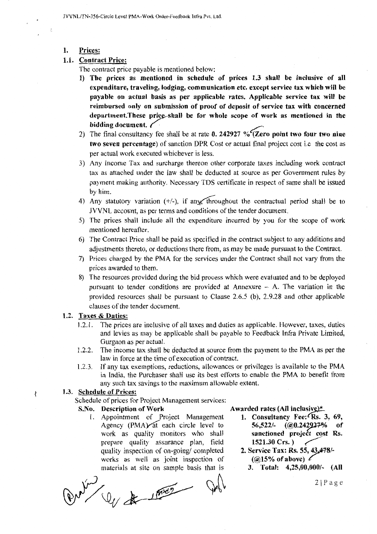JVVNL/TN-356-Circle Level PMA-Work Order-Feedback Infra Pvt. Ltd.

1. Prices:

# 1.1. Contract Price:

The contract price payable is mentioned below:

- 1) The prices as mentioned in schedule of prices 1.3 shall be inclusive of all expenditure, traveling, lodging, communication etc. except service tax which will be payable on actual basis as per applicable rates. Applicable service tax will be reimbursed only on submission of proof of deposit of service tax with concerned department. These price shall be for whole scope of work as mentioned in the bidding document.  $\angle$
- 2) The final consultancy fee shall be at rate 0. 242927 % (Zero point two four two nine two seven percentage) of sanction DPR Cost or actual final project cost i.e the cost as per actual work executed whichever is less.
- 3) Any lncome Tax and surcharge thereon other corporate taxes including work contract tax as attached under the law shall be deducted at source as per Government rules by payment making authority. Necessary TDS certificate in respect of same shall be issued by him.
- 4) Any statutory variation  $(+/-)$ , if any, throughout the contractual period shall be to JVVNL account, as per terms and conditions of the tender document.
- 5) The prices shall include all the expenditure incurred by you for the scope of work mentioned hereafter.
- 6) The Contract Price shall be paid as specified in the contract subject to any additions and adjustments thereto, or deductions there from, as may be made pursuant to the Contract.
- 7) Prices charged by the PMA for the services under the Contract shall not vary from the prices awarded to them.
- 8) The resources provided during the bid process which were evaluated and to be deployed pursuant to tender conditions are provided at Annexure  $-$  A. The variation in the provided resources shall be pursuant to Clause 2.6.5 (b), 2.9.28 and other applicable clauses of the tender document.

# 1.2. Taxes & Duties:

- 1.2.1. The prices are inclusive of all taxes and duties as applicable. However, taxes, duties and levies as may be applicable shall be payable to Feedback Infra Private Limited, Gurgaon as per actual.
- 1.2.2. The income tax shall be deducted at source from the payment to the PMA as per the law in force at the time of execution of contract.
- 1.2.3. If any tax exemptions, reductions, allowances or privileges is available to the PMA in India, the Purchaser shall use its best efforts to enable the PMA to benefit from any such tax savings to the maximum allowable extent.

# 1.3. Schedule of Prices:

 $\sqrt{ }$ 

Schedule of prices for Project Management services:

# S.No. Description of Work

l. Appointment of Project Management Agency (PMA) at each circle level to work as quality monitors who shall prepare quality assurance plan, field quality inspection of on-going/ completed works as well as joint inspection of materials at site on sample basis that is

 $\frac{1}{\sqrt{4}}$ 

Awarded rates (All inclusive) $*$ 

- 1. Consultancy Fee:<sup>c</sup>Rs. 3, 69, 56,522/-  $\left(\omega 0.242927\right)$  of sanctioned project cost Rs.<br>1521.30 Crs.)
- 2. Service Tax: Rs. 55, 43, 478/  $(Q15\% \text{ of above})$  *i*
- 3. Total: 4,25,00,000/- (All

 $2 \mid P \land g \in$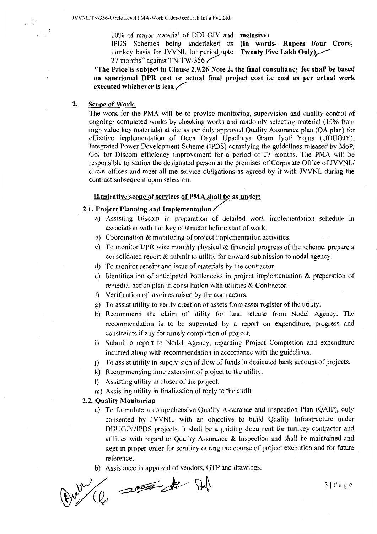10% of major material of DDUGJY and inclusive)

IPDS Schemes being undertaken on (In words- Rupees Four Crore, turnkey basis for JVVNL for period upto Twenty Five Lakh Only) $\angle$ 27 months" against TN-TW-356

\*The Price is subject to Clause 2.9.26 Note 2, the final consultancy fee shall be based on sanctioned DPR cost or actual final project cost i.e cost as per actual work executed whichever is less.  $\swarrow$ 

#### 2. Scope of Work:

The work for the PMA will be to provide monitoring, supervision and quality control of ongoing/ completed works by checking works and randomly selecting material (10% from high value key materials) at site as per duly approved Quality Assurance plan (QA plan) for effective implementation of Deen Dayal Upadhaya Gram Jyoti Vojna (DDUGJY), Integrated Power Development Scheme (IPDS) complying the guidelines released by MoP, Gol for Discom efficiency improvement for a period of 27 months. The PMA will be responsible to station the designated person at the premises of Corporate Office of JVVNL/ circle offices and meet all the service obligations as agreed by it with JVVNL during the contract subsequent upon selection.

# Illustrative scope of services of PMA shall be as under:

# 2.1. Project Planning and Implementation

- a) Assisting Discom in preparation of detailed work implementation schedule in association with turnkey contractor before start of work.
- b) Coordination & monitoring of project implementation activities.
- c) To monitor DPR wise monthly physical & financial progress of the scheme, prepare a consolidated report & submit to utility for onward submission to nodal agency.
- d) To monitor receipt and issue of materials by the contractor.
- e) Identification of anticipated bottlenecks in project implementation & preparation of remedial action plan in consultation with utilities & Contractor.
- f) Verification of invoices raised by the contractors.
- g) To assist utility to verify creation of assets from asset register of the utility.
- h) Recommend the claim of utility for fund release from Nodal Agency. The recommendation is to be supported by a report on expenditure, progress and constraints if any for timely completion of project.
- i) Submit a report to Nodal Agency, regarding Project Completion and expenditure incurred along with recommendation in accordance with the guidelines.
- j) To assist utility in supervision of flow of funds in dedicated bank account of projects.
- k) Recommending time extension of project to the utility.
- I) Assisting utility in closer of the project.
- m) Assisting utility in finalization of reply to the audit.

#### 2.2. Quality Monitoring

- a) To formulate a comprehensive Quality Assurance and Inspection Plan (QAIP), duly consented by JVVNL, with an objective to build Quality Infrastructure under DDUGJY /IPDS projects. It shall be a guiding document for turnkey contractor and utilities with regard to Quality Assurance  $\&$  Inspection and shall be maintained and kept in proper order for scrutiny during the course of project execution and for future reference.
- 

b) Assistance in approval of vendors, GTP and drawings.

 $3|P \text{ a ge}$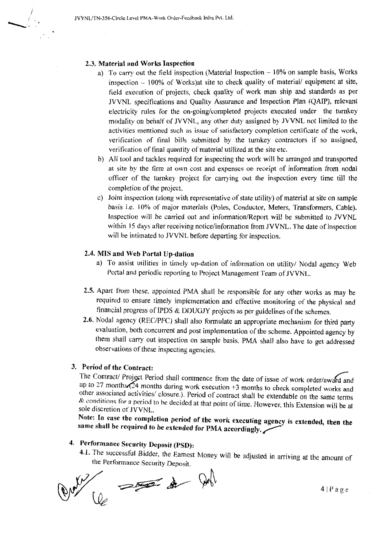#### 2.3. Material and Works Inspection

/  $^{\prime}$  .  $\begin{array}{c} \begin{array}{c} \begin{array}{c} \end{array} \end{array}$ 

- a) To carry out the field inspection (Material Inspection  $-10\%$  on sample basis, Works inspection  $-100\%$  of Works)at site to check quality of material/ equipment at site, field execution of projects, check quality of work man ship and standards as per JVVNL specifications and Quality Assurance and Inspection Plan (QAIP), relevant electricity rules for the on-going/completed projects executed under the turnkey modality on behalf of JVVNL, any other duty assigned by JVVNL not limited to the activities mentioned such as issue of satisfactory completion certificate of the work, verification of final bills submitted by the turnkey contractors if so assigned, verification of final quantity of material utilized at the site etc.
- b) All tool and tackles required for inspecting the work will be arranged and transported at site by the firm at own cost and expenses on receipt of information from nodal officer of the turnkey project for carrying out the inspection every time till the completion of the project.
- c) Joint inspection (along with representative of state utility) of material at site on sample basis i.e. 10% of major materials (Poles, Conductor, Meters, Transformers, Cable). Inspection will be carried out and information/Report will be submitted to JVVNL within 15 days after receiving notice/information from JVVNL. The date of inspection will be intimated to JVVNL before departing for inspection.

#### 2.4. MIS and Web Portal Up-dation

- a) To assist utilities in timely up-dation of information on utility/ Nodal agency Web Portal and periodic reporting to Project Management Team of JVVNL.
- 2.5. Apart from these, appointed PMA shall be responsible for any other works as may be required to ensure timely implementation and effective monitoring of the physical and financial progress of IPDS & DDUGJY projects as per guidelines of the schemes.
- 2.6. Nodal agency (REC/PFC) shall also formulate an appropriate mechanism for third party evaluation, both concurrent and post implementation of the scheme. Appointed agency by them shall carry out inspection on sample basis. PMA shall also have to get addressed observations of these inspecting agencies.

# 3. Period of the Contract:

The Contract/ Project Period shall commence from the date of issue of work order/award and up to 27 months  $\tilde{24}$  months during work execution +3 months to check completed works and other associated activities/ closure.). Period of contract shall be extendable on the same terms  $&$  conditions for a period to be decided at that point of time. However, this Extension will be at sole discretion of JVVNL.

Note: In case the completion period of the work executing agency is extended, then the same shall be required to be extended for PMA accordingly.

# 4. Performance Security Deposit (PSD):

4.1. The successful Bidder, the Earnest Money will be adjusted in arriving at the amount of the Performance Security Deposit.

 $\frac{1}{\sqrt{1-\frac{1}{2}}}\left\{1+\frac{1}{2}\left(1+\frac{1}{2}\right)\right\}$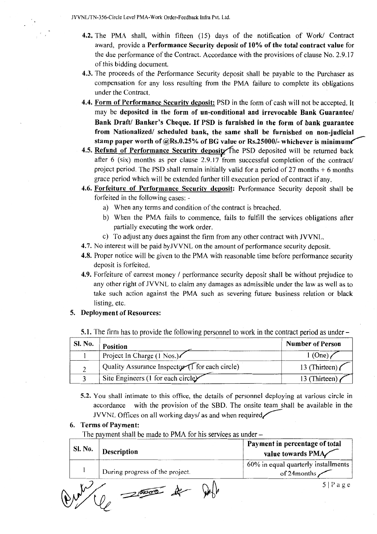JVVNL/TN-356-Circle Level PMA-Work Order-Feedback Infra Pvt. Ltd.

- 4.2. The PMA shall, within fifteen (15) days of the notification of Work/ Contract award, provide a Performance Security deposit of 10% of the total contract value for the due performance of the Contract. Accordance with the provisions of clause No. 2.9.17 of this bidding document.
- 4.3. The proceeds of the Performance Security deposit shall be payable to the Purchaser as compensation for any loss resulting from the PMA failure to complete its obligations under the Contract.
- 4.4. Form of Performance Security deposit: PSD in the form of cash will not be accepted. It may be deposited in the form of un-conditional and irrevocable Bank Guarantee/ Bank Draft/ Banker's Cheque. If PSD is furnished in the form of bank guarantee from Nationalized/ scheduled bank, the same shall be furnished on non-judicial stamp paper worth of  $@Rs.0.25\%$  of BG value or Rs.25000/- whichever is minimum
- 4.5. Refund of Performance Security deposity the PSD deposited will be returned back after 6 (six) months as per clause 2.9.17 from successful completion of the contract/ project period. The PSD shall remain initially valid for a period of 27 months  $+ 6$  months grace period which will be extended further till execution period of contract if any.
- 4.6. Forfeiture of Performance Security deposit: Performance Security deposit shall be forfeited in the following cases:
	- a) When any terms and condition of the contract is breached.
	- b) When the PMA fails to commence, fails to fulfill the services obligations after partially executing the work order.
	- c) To adjust any dues against the firm from any other contract with JVVNL.
- 4.7. No interest will be paid byJVVNL on the amount of performance security deposit.
- 4.8. Proper notice will be given to the PMA with reasonable time before performance security deposit is forfeited.
- 4.9. Forfeiture of earnest money / performance security deposit shall be without prejudice to any other right of JVVNL to claim any damages as admissible under the law as well as to take such action against the PMA such as severing future business relation or black listing, etc.

# 5. Deployment of Resources:

5.1. The firm has to provide the following personnel to work in the contract period as under -

| <b>SI. No.</b> | Position                                               | <b>Number of Person</b> |
|----------------|--------------------------------------------------------|-------------------------|
|                | Project In Charge (1 Nos.)                             | $1$ (One).              |
|                | Quality Assurance Inspector $\bigcap$ for each circle) | 13 (Thirteen)           |
|                | Site Engineers (1 for each circle $\angle$             | 13 (Thirteen)           |

5.2. You shall intimate to this office, the details of personnel deploying at various circle in accordance with the provision of the SBD. The onsite team shall be available in the JVVNL Offices on all working days/ as and when required,

#### 6. Terms of Payment:

The payment shall be made to PMA for his services as under –

| <b>Sl. No.</b> | Description                     | Payment in percentage of total<br>value towards PMA |
|----------------|---------------------------------|-----------------------------------------------------|
|                | During progress of the project. | 60% in equal quarterly installments<br>of 24months  |
|                | 25000                           | $5 $ P a g e                                        |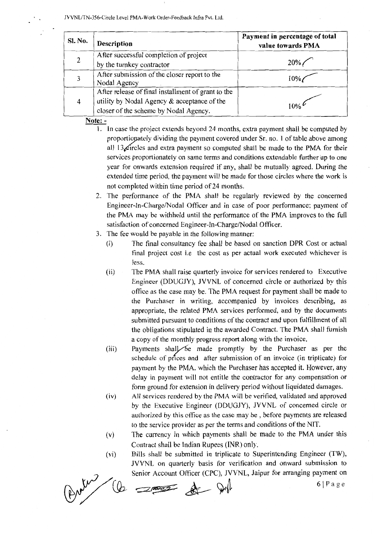| Sl. No. | <b>Description</b>                                 | Payment in percentage of total<br>value towards PMA |  |
|---------|----------------------------------------------------|-----------------------------------------------------|--|
|         | After successful completion of project             |                                                     |  |
|         | by the turnkey contractor                          | $20\%$                                              |  |
|         | After submission of the closer report to the       |                                                     |  |
|         | Nodal Agency                                       |                                                     |  |
|         | After release of final installment of grant to the |                                                     |  |
| 4       | utility by Nodal Agency $&$ acceptance of the      |                                                     |  |
|         | closer of the scheme by Nodal Agency.              |                                                     |  |

Note: -

- 1. In case the project extends beyond 24 months, extra payment shall be computed by proportionately dividing the payment covered under Sr. no. 1 of table above among all  $13\angle$ ircles and extra payment so computed shall be made to the PMA for their services proportionately on same terms and conditions extendable further up to one year for onwards extension required if any, shall be mutually agreed. During the extended time period, the payment will be made for those circles where the work is not completed within time period of 24 months.
- 2. The performance of the PMA shall be regularly reviewed by the concerned Engineer-In-Charge/Nodal Officer and in case of poor performance; payment of the PMA may be withheld until the performance of the PMA improves to the full satisfaction of concerned Engineer-In-Charge/Nodal Officer.
- 3. The fee would be payable in the following manner:
	- (i) The final consultancy fee shall be based on sanction DPR Cost or actual final project cost i.e the cost as per actual work executed whichever is less.
	- (ii) The PMA shall raise quarterly invoice for services rendered to Executive Engineer (DDUGJY), JVVNL of concerned circle or authorized by this office as the case may be. The PMA request for payment shall be made to the Purchaser in writing, accompanied by invoices describing, as appropriate, the related PMA services performed, and by the documents submitted pursuant to conditions of the contract and upon fulfillment of all the obligations stipulated in the awarded Contract. The PMA shall furnish a copy of the monthly progress report along with the invoice.
	- (iii) Payments shall be made promptly by the Purchaser as per the schedule of prices and after submission of an invoice (in triplicate) for payment by the PMA, which the Purchaser has accepted it. However, any delay in payment will not entitle the contractor for any compensation or form ground for extension in delivery period without liquidated damages.
	- (iv) All services rendered by the PMA will be verified, validated and approved by the Executive Engineer (DDUGJY), JVVNL of concerned circle or authorized by this office as the case may be , before payments are released to the service provider as per the terms and conditions of the NIT.
	- (v) The currency in which payments shall be made to the PMA under this Contract shall be Indian Rupees (INR) only.
	- (vi) Bills shall be submitted in triplicate to Superintending Engineer (TW), JVVNL on quarterly basis for verification and onward submission to<br>Senior Account Officer (CPC), JVVNL, Jaipur for arranging payment on<br>  $6 \mid P a g e$ Senior Account Officer (CPC), JVVNL, Jaipur for arranging payment on

(b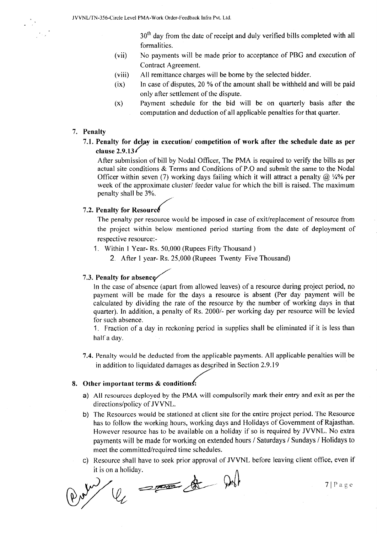$30<sup>th</sup>$  day from the date of receipt and duly verified bills completed with all formalities.

- (vii) No payments will be made prior to acceptance of PBG and execution of Contract Agreement.
- (viii) All remittance charges will be borne by the selected bidder.
- $(ix)$  In case of disputes, 20 % of the amount shall be withheld and will be paid only after settlement of the dispute.
- (x) Payment schedule for the bid will be on quarterly basis after the computation and deduction of all applicable penalties for that quarter.

#### 7. Penalty

7.1. Penalty for delay in execution/ competition of work after the schedule date as per clause  $2.9.13$ 

After submission of bill by Nodal Officer, The PMA is required to verify the bills as per actual site conditions & Terms and Conditions of P.0 and submit the same to the Nodal Officer within seven (7) working days failing which it will attract a penalty  $\omega$  1/4% per week of the approximate cluster/ feeder value for which the bill is raised. The maximum penalty shall be 3%.

# 7.2. Penalty for Resource

The penalty per resource would be imposed in case of exit/replacement of resource from the project within below mentioned period starting from the date of deployment of respective resource:-

- 1. Within 1 Year- Rs. 50,000 (Rupees Fifty Thousand )
	- 2. After 1 year- Rs. 25,000 (Rupees Twenty Five Thousand)

# 7.3. Penalty for absence

In the case of absence (apart from allowed leaves) of a resource during project period, no payment will be made for the days a resource is absent (Per day payment will be calculated by dividing the rate of the resource by the number of working days in that quarter). In addition, a penalty of Rs. 2000/- per working day per resource will be levied for such absence.

1. Fraction of a day in reckoning period in supplies shall be eliminated if it is less than half a day.

7.4. Penalty would be deducted from the applicable payments. All applicable penalties will be in addition to liquidated damages as described in Section 2.9.19

#### 8. Other important terms  $&$  conditions:

- a) All resources deployed by the PMA will compulsorily mark their entry and exit as per the directions/policy of JVVNL.
- b) The Resources would be stationed at client site for the entire project period. The Resource has to follow the working hours, working days and Holidays of Government of Rajasthan. However resource has to be available on a holiday if so is required by JVVNL. No extra payments will be made for working on extended hours / Saturdays / Sundays / Holidays to meet the committed/required time schedules.
- c) Resource shall have to seek prior approval of JVVNL before leaving client office, even if

it is on a holiday.<br> $\mathcal{Q}_L$   $\longrightarrow$   $\mathcal{Q}_L$   $\longrightarrow$   $\mathcal{Q}_L$   $\longrightarrow$   $\mathcal{Q}_L$   $\longrightarrow$   $\mathcal{Q}_L$   $\longrightarrow$   $\mathcal{Q}_L$   $\longrightarrow$   $\mathcal{Q}_L$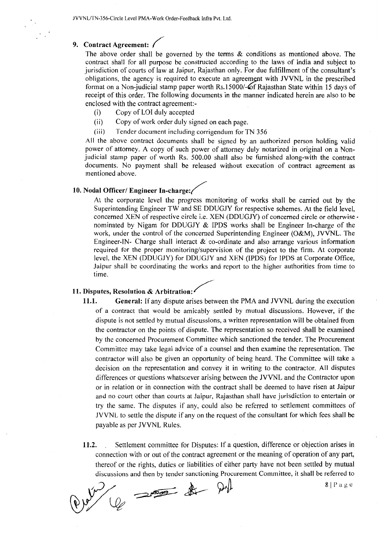#### 9. Contract Agreement: /

The above order shall be governed by the terms & conditions as mentioned above. The contract shall for all purpose be constructed according to the laws of India and subject to jurisdiction of courts of law at Jaipur, Rajasthan only. For due fulfillment of the consultant's obligations, the agency is required to execute an agreement with JVVNL in the prescribed format on a Non-judicial stamp paper worth Rs.15000/- of Rajasthan State within 15 days of receipt of this order. The following documents in the manner indicated herein are also to be enclosed with the contract agreement:-

- (i) Copy of LOI duly accepted
- (ii) Copy of work order duly signed on each page.
- (iii) Tender document including corrigendum for TN 356

All the above contract documents shall be signed by an authorized person holding valid power of attorney. A copy of such power of attorney duly notarized in original on a Nonjudicial stamp paper of worth Rs. 500.00 shall also be furnished along-with the contract documents. No payment shall be released without execution of contract agreement as mentioned above.

# 10. Nodal Officer/ Engineer In-charge:

At the corporate level the progress monitoring of works shall be carried out by the Superintending Engineer TW and SE DDUGJY for respective schemes. At the field level, concerned XEN of respective circle i.e. XEN (DDUGJY) of concerned circle or otherwise  $\cdot$ nominated by Nigam for DDUGJY & IPDS works shall be Engineer In-charge of the work, under the control of the concerned Superintending Engineer (O&M), JVVNL. The Engineer-IN- Charge shall interact  $&$  co-ordinate and also arrange various information required for the proper monitoring/supervision of the project to the firm. At corporate level, the XEN (DDUGJY) for DDUGJY and XEN (IPDS) for IPDS at Corporate Office, Jaipur shall be coordinating the works and report to the higher authorities from time to time.

# 11. Disputes, Resolution & Arbitration:

- 11.1. General: If any dispute arises between the PMA and JVVNL during the execution of a contract that would be amicably settled by mutual discussions. However, if the dispute is not settled by mutual discussions, a written representation will be obtained from the contractor on the points of dispute. The representation so received shall be examined by the concerned Procurement Committee which sanctioned the tender. The Procurement Committee may take legal advice of a counsel and then examine the representation. The contractor will also be given an opportunity of being heard. The Committee will take a decision on the representation and convey it in writing to the contractor. All disputes differences or questions whatsoever arising between the JVVNL and the Contractor upon or in relation or in connection with the contract shall be deemed to have risen at Jaipur and no court other than courts at Jaipur, Rajasthan shall have jurisdiction to entertain or try the same. The disputes if any, could also be referred to settlement committees of JVVNL to settle the dispute if any on the request of the consultant for which fees shall be payable as per JVVNL Rules.
- 11.2. Settlement committee for Disputes: If a question, difference or objection arises in connection with or out of the contract agreement or the meaning of operation of any part, thereof or the rights, duties or liabilities of either party have not been settled by mutual discussions and then by tender sanctioning Procurement Committee, it shall be referred to

es since de politica de 8/Page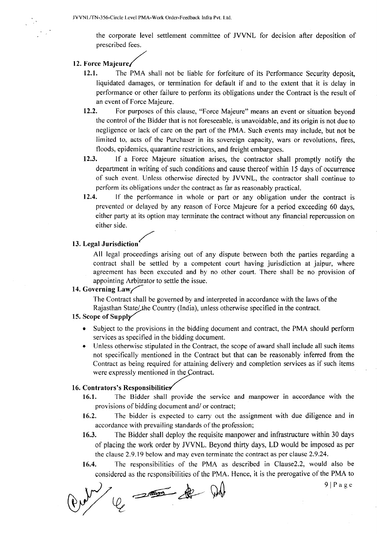the corporate level settlement committee of JVVNL for decision after deposition of prescribed fees.

# 12. Force Majeure/

- 12.1. The PMA shall not be liable for forfeiture of its Performance Security deposit, liquidated damages, or termination for default if and to the extent that it is delay in performance or other failure to perform its obligations under the Contract is the result of an event of Force Majeure.
- 12.2. For purposes of this clause, "Force Majeure" means an event or situation beyond the control of the Bidder that is not foreseeable, is unavoidable, and its origin is not due to negligence or lack of care on the part of the PMA. Such events may include, but not be limited to, acts of the Purchaser in its sovereign capacity, wars or revolutions, fires, floods, epidemics, quarantine restrictions, and freight embargoes.
- 12.3. If a Force Majeure situation arises, the contractor shall promptly notify the department in writing of such conditions and cause thereof within 15 days of occurrence of such event. Unless otherwise directed by JVVNL, the contractor shall continue to perform its obligations under the contract as far as reasonably practical.
- 12.4. If the performance in whole or part or any obligation under the contract is prevented or delayed by any reason of Force Majeure for a period exceeding 60 days, either party at its option may terminate the contract without any financial repercussion on either side.

# 13. Legal Jurisdiction

All legal proceedings arising out of any dispute between both the parties regarding a contract shall be settled by a competent court having jurisdiction at jaipur, where agreement has been executed and by no other court. There shall be no provision of appointing Arbitrator to settle the issue.

# 14. Governing  $Law$

The Contract shall be governed by and interpreted in accordance with the laws of the Rajasthan State/the Country (India), unless otherwise specified in the contract.

# 15. Scope of Supply

- Subject to the provisions in the bidding document and contract, the PMA should perform services as specified in the bidding document.
- Unless otherwise stipulated in the Contract, the scope of award shall include all such items not specifically mentioned in the Contract but that can be reasonably inferred from the Contract as being required for attaining delivery and completion services as if such items were expressly mentioned in the Contract.

# 16. Contrators's Responsibilities

- 16.1. The Bidder shall provide the service and manpower in accordance with the provisions of bidding document and/ or contract;
- 16.2. The bidder is expected to carry out the assignment with due diligence and in accordance with prevailing standards of the profession;
- 16.3. The Bidder shall deploy the requisite manpower and infrastructure within 30 days of placing the work order by JVVNL. Beyond thirty days, LD would be imposed as per the clause 2.9.19 below and may even terminate the contract as per clause 2.9.24.
- 16.4. The responsibilities of the PMA as described in Clause2.2, would also be considered as the responsibilities of the PMA. Hence, it is the prerogative of the PMA to

 $\theta$  ... 9| Page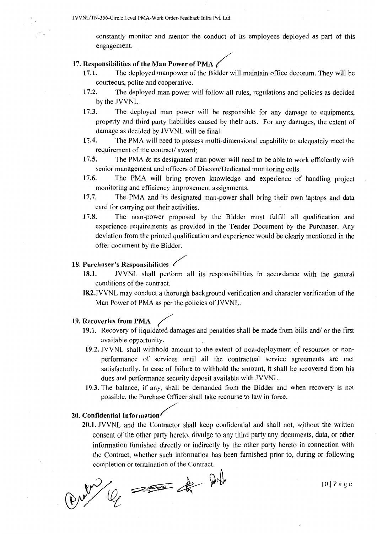constantly monitor and mentor the conduct of its employees deployed as part of this engagement.

- 17. Responsibilities of the Man Power of PMA  $\ell$ <br>17.1. The deployed manpower of the Bidder will maintain office decorum. They will be courteous, polite and cooperative.
	- 17.2. The deployed man power will follow all rules, regulations and policies as decided by the JVVNL.
	- 17.3. The deployed man power will be responsible for any damage to equipments, property and third party liabilities caused by their acts. For any damages, the extent of damage as decided by JVVNL will be final.
	- 17.4. The PMA will need to possess multi-dimensional capability to adequately meet the requirement of the contract/ award;
	- 17.5. The PMA & its designated man power will need to be able to work efficiently with senior management and officers of Discom/Dedicated monitoring cells
	- 17.6. The PMA will bring proven knowledge and experience of handling project monitoring and efficiency improvement assignments.
	- 17.7. The PMA and its designated man-power shall bring their own laptops and data card for carrying out their activities.
	- 17.8. The man-power proposed by the Bidder must fulfill all qualification and experience requirements as provided in the Tender Document by the Purchaser. Any deviation from the printed qualification and experience would be clearly mentioned in the offer document by the Bidder.

#### 18. Purchaser's Responsibilities /

- 18.1. JVVNL shall perform all its responsibilities in accordance with the general conditions of the contract.
- 182.JVVNL may conduct a thorough background verification and character verification of the Man Power of PMA as per the policies of JVVNL.

# 19. Recoveries from PMA

- 19.1. Recovery of liquidated damages and penalties shall be made from bills and/ or the first available opportunity.
- 19.2. JVVNL shall withhold amount to the extent of non-deployment of resources or nonperformance of services until all the contractual service agreements are met satisfactorily. In case of failure to withhold the amount, it shall be recovered from his dues and performance security deposit available with JVVNL.
- 19.3. The balance, if any, shall be demanded from the Bidder and when recovery is not possible, the Purchase Officer shall take recourse to law in force.

#### 20. Confidential Information/

20.1. JVVNL and the Contractor shall keep confidential and shall not, without the written consent of the other party hereto, divulge to any third party any documents, data, or other information furnished directly or indirectly by the other party hereto in connection with the Contract, whether such information has been furnished prior to, during or following completion or termination of the Contract.

~k94 IOI Page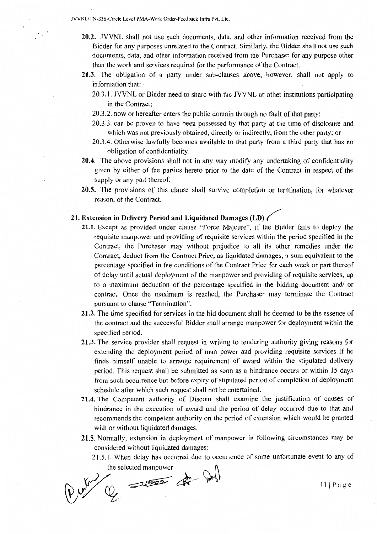JVVNL/TN-356-Circle Level PMA-Work Order-Feedback Infra Pvt. Ltd.

- 20.2. JVVNL shall not use such documents, data, and other information received from the Bidder for any purposes unrelated to the Contract. Similarly, the Bidder shall not use such documents, data, and other information received from the Purchaser for any purpose other than the work and services required for the performance of the Contract.
- 20.3. The obligation of a party under sub-clauses above, however, shall not apply to information that: -
	- 20.3.1. JVVNL or Bidder need to share with the JVVNL or other institutions participating in the Contract;
	- 20.3.2. now or hereafter enters the public domain through no fault of that party;
	- 20.3.3. can be proven to have been possessed by that party at the time of disclosure and which was not previously obtained, directly or indirectly, from the other party; or
	- 20.3.4. Otherwise lawfully becomes available to that party from a third party that has no obligation of confidentiality.
- 20.4. The above provisions shall not in any way modify any undertaking of confidentiality given by either of the parties hereto prior to the date of the Contract in respect of the supply or any part thereof.
- 20.5. The provisions of this clause shall survive completion or termination, for whatever reason, of the Contract.

# 21. Extension in Delivery Period and Liquidated Damages (LD)  $\ell$

- 21.1. Except as provided under clause "Force Majeure", if the Bidder fails to deploy the requisite manpower and providing of requisite services within the period specified in the Contract, the Purchaser may without prejudice to all its other remedies under the Contract, deduct from the Contract Price, as liquidated damages, a sum equivalent to the percentage specified in the conditions of the Contract Price for each week or part thereof of delay until actual deployment of the manpower and providing of requisite services, up to a maximum deduction of the percentage specified in the bidding document and/ or contract. Once the maximum is reached, the Purchaser may terminate the Contract pursuant to clause "Termination".
- 21.2. The time specified for services in the bid document shall be deemed to be the essence of the contract and the successful Bidder shall arrange manpower for deployment within the specified period.
- 21.3. The service provider shall request in writing to tendering authority giving reasons for extending the deployment period of man power and providing requisite services if he finds himself unable to arrange requirement of award within the stipulated delivery period. This request shall be submitted as soon as a hindrance occurs or within 15 days from such occurrence but before expiry of stipulated period of completion of deployment schedule after which such request shall not be entertained.
- 21.4. The Competent authority of Discom shall examine the justification of causes of hindrance in the execution of award and the period of delay occurred due to that and recommends the competent authority on the period of extension which would be granted with or without liquidated damages.
- 21.5. Normally, extension in deployment of manpower in following circumstances may be considered without liquidated damages:
	- 21.5.1. When delay has occurred due to occurrence of some unfortunate event to any of

the selected manpower<br>(Q

Ill Page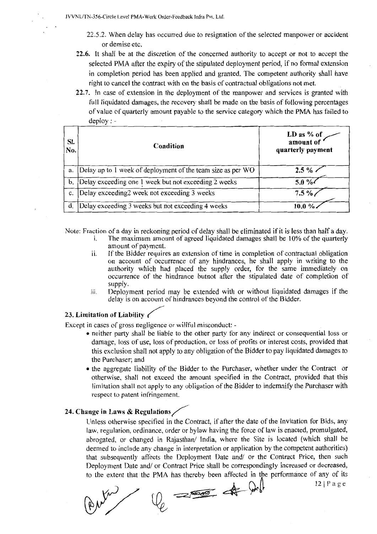- 22.5.2. When delay has occurred due to resignation of the selected manpower or accident or demise etc.
- 22.6. It shall be at the discretion of the concerned authority to accept or not to accept the selected PMA after the expiry of the stipulated deployment period, if no formal extension in completion period has been applied and granted. The competent authority shall have right to cancel the contract with on the basis of contractual obligations not met.
- 22.7. In case of extension in the deployment of the manpower and services is granted with full liquidated damages, the recovery shall be made on the basis of following percentages of value of quarterly amount payable to the service category which the PMA has failed to deploy: -

|                | $u \nu \nu \nu$ ,                                           |                                              |
|----------------|-------------------------------------------------------------|----------------------------------------------|
| SI.<br>No.     | Condition                                                   | LD as % of<br>amount of<br>quarterly payment |
| a.             | Delay up to 1 week of deployment of the team size as per WO | $2.5 \%$                                     |
| b.             | Delay exceeding one 1 week but not exceeding 2 weeks        | $5.0 \%$                                     |
| c.             | Delay exceeding2 week not exceeding 3 weeks                 | $7.5\%$                                      |
| $\mathbf{d}$ . | Delay exceeding 3 weeks but not exceeding 4 weeks           | 10.0%                                        |

Note: Fraction of a day in reckoning period of delay shall be eliminated if it is less than half a day.<br>i. The maximum amount of agreed liquidated damages shall be 10% of the quarterly

- The maximum amount of agreed liquidated damages shall be 10% of the quarterly amount of payment.
- ii. If the Bidder requires an extension of time in completion of contractual obligation on account of occurrence of any hindrances, he shall apply in writing to the authority which had placed the supply order, for the same immediately on occurrence of the hindrance butnot after the stipulated date of completion of supply.
- 111. Deployment period may be extended with or without liquidated damages if the delay is on account of hindrances beyond the control of the Bidder.

#### 23. Limitation of Liability  $\epsilon$

Except in cases of gross negligence or willful misconduct: -

- neither party shall be liable to the other party for any indirect or consequential loss or damage, loss of use, loss of production, or loss of profits or interest costs, provided that this exclusion shall not apply to any obligation of the Bidder to pay liquidated damages to the Purchaser; and
- the aggregate liability of the Bidder to the Purchaser, whether under the Contract or otherwise, shall not exceed the amount specified in the Contract, provided that this limitation shall not apply to any obligation of the Bidder to indemnify the Purchaser with respect to patent infringement.

# 24. Change in Laws & Regulations  $\angle$

Unless otherwise specified in the Contract, if after the date of the Invitation for Bids, any law, regulation, ordinance, order or bylaw having the force of law is enacted, promulgated, abrogated, or changed in Rajasthan/ India, where the Site is located (which shall be deemed to include any change in interpretation or application by the competent authorities) that subsequently affects the Deployment Date and/ or the Contract Price, then such Deployment Date and/ or Contract Price shall be correspondingly increased or decreased,

to the extent that the PMA has thereby been affected in the performance of any of its if  $\binom{12}{P}$  a g e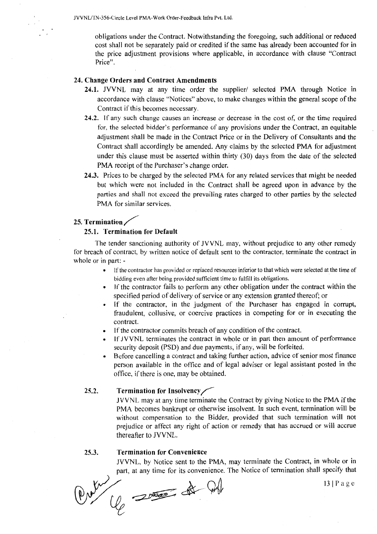obligations under the Contract. Notwithstanding the foregoing, such additional or reduced cost shall not be separately paid or credited if the same has already been accounted for in the price adjustment provisions where applicable, in accordance with clause "Contract Price".

#### 24. Change Orders and Contract Amendments

- 24.1. JVVNL may at any time order the supplier/ selected PMA through Notice in accordance with clause "Notices" above, to make changes within the general scope of the Contract if this becomes necessary.
- 24.2. If any such change causes an increase or decrease in the cost of, or the time required for, the selected bidder's performance of any provisions under the Contract, an equitable adjustment shall be made in the Contract Price or in the Delivery of Consultants and the Contract shall accordingly be amended. Any claims by the selected PMA for adjustment under this clause must be asserted within thirty (30) days from the date of the selected PMA receipt of the Purchaser's change order.
- 24.3. Prices to be charged by the selected PMA for any related services that might be needed but which were not included in the Contract shall be agreed upon in advance by the parties and shall not exceed the prevailing rates charged to other parties by the selected PMA for similar services.

# 25. Termination  $\angle$

#### 25.1. Termination for Default

The tender sanctioning authority of JVVNL may, without prejudice to any other remedy for breach of contract, by written notice of default sent to the contractor, terminate the contract in whole or in part: -

- If the contractor has provided or replaced resources inferior to that which were selected at the time of bidding even after being provided sufficient time to fulfill its obligations.
- If the contractor fails to perform any other obligation under the contract within the specified period of delivery of service or any extension granted thereof; or
- If the contractor, in the judgment of the Purchaser has engaged in corrupt, fraudulent, collusive, or coercive practices in competing for or in executing the contract.
- If the contractor commits breach of any condition of the contract.
- If JVVNL terminates the contract in whole or in part then amount of performance security deposit (PSD) and due payments, if any, will be forfeited.
- Before cancelling a contract and taking further action, advice of senior most finance person available in the office and of legal adviser or legal assistant posted in the office, if there is one, may be obtained.

#### 25.2. Termination for Insolvency/

JVVNL may at any time terminate the Contract by giving Notice to the PMA if the PMA becomes bankrupt or otherwise insolvent. In such event, termination will be without compensation to the Bidder, provided that such termination will not prejudice or affect any right of action or remedy that has accrued or will accrue thereafter to JVVNL.

#### 25.3. Termination for Convenience

JVVNL, by Notice sent to the PMA, may terminate the Contract, in whole or in 25.3. **Termination for Convenience**<br>JVVNL, by Notice sent to the PMA, may terminate the Contract, in whole or in<br>part, at any time for its convenience. The Notice of termination shall specify that<br> $\lambda$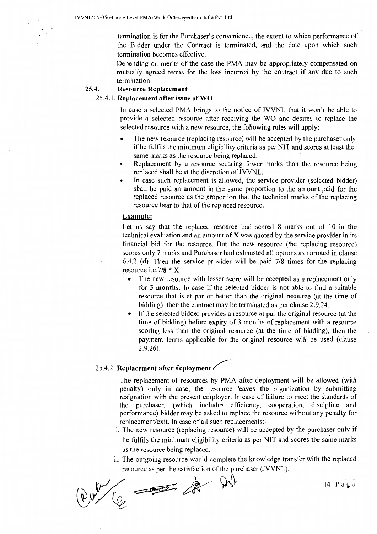termination is for the Purchaser's convenience, the extent to which performance of the Bidder under the Contract is terminated, and the date upon which such termination becomes effective.

Depending on merits of the case the PMA may be appropriately compensated on mutually agreed terms for the loss incurred by the contract if any due to such termination

#### 25.4. Resource Replacement

#### 25 .4.1. Replacement after issue of WO

In case a selected PMA brings to the notice of JVVNL that it won't be able to provide a selected resource after receiving the WO and desires to replace the selected resource with a new resource, the following rules will apply:

- The new resource (replacing resource) will be accepted by the purchaser only if he fulfils the minimum eligibility criteria as per NIT and scores at least the same marks as the resource being replaced.
- Replacement by a resource securing fewer marks than the resource being replaced shall be at the discretion of JVVNL.
- In case such replacement is allowed, the service provider (selected bidder) shall be paid an amount in the same proportion to the amount paid for the replaced resource as the proportion that the technical marks of the replacing resource bear to that of the replaced resource.

#### Example:

Let us say that the replaced resource had scored 8 marks out of 10 in the technical evaluation and an amount of  $X$  was quoted by the service provider in its financial bid for the resource. But the new resource (the replacing resource) scores only 7 marks and Purchaser had exhausted all options as narrated in clause 6.4.2 (d). Then the service provider will be paid  $7/8$  times for the replacing resource i.e.7/8 \* X

- The new resource with lesser score will be accepted as a replacement only for 3 months. In case if the selected bidder is not able to find a suitable resource that is at par or better than the original resource (at the time of bidding), then the contract may be terminated as per clause 2.9.24.
- If the selected bidder provides a resource at par the original resource (at the time of bidding) before expiry of 3 months of replacement with a resource scoring less than the original resource (at the time of bidding), then the payment terms applicable for the original resource will be used (clause 2.9.26).

# 25.4.2. Replacement after deployment

The replacement of resources by PMA after deployment will be allowed (with penalty) only in case, the resource leaves the organization by submitting resignation with the present employer. In case of failure to meet the standards of the purchaser, (which includes efficiency, cooperation, discipline and performance) bidder may be asked to replace the resource without any penalty for replacement/exit. In case of all such replacements:-

- i. The new resource (replacing resource) will be accepted by the purchaser only if he fulfils the minimum eligibility criteria as per NIT and scores the same marks as the resource being replaced.
- ii. The outgoing resource would complete the knowledge transfer with the replaced resource as per the satisfaction of the purchaser (JVVNL).

 $^{141Page}$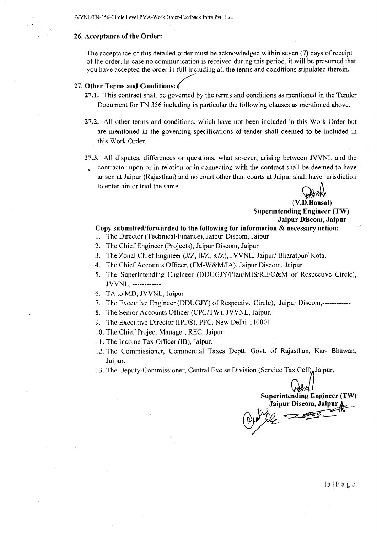JVVNL/TN-356-Circle Level PMA-Work Order-Feedback infra Pvt. Ltd.

#### 26. Acceptance of the Order:

The acceptance of this detailed order must be acknowledged within seven (7) days of receipt of the order. In case no communication is received during this period, it will be presumed that you have accepted the order in full including all the terms and conditions stipulated therein.

#### 27. Other Terms and Conditions: *{*

- 27.1. This contract shall be governed by the terms and conditions as mentioned in the Tender Document for TN 356 including in particular the following clauses as mentioned above.
- 27.2. All other terms and conditions, which have not been included in this Work Order but are mentioned in the governing specifications of tender shall deemed to be included in this Work Order.
- 27.3. All disputes, differences or questions, what so-ever, arising between JVVNL and the
	- contractor upon or in relation or in connection with the contract shall be deemed to have arisen at Jaipur (Rajasthan) and no court other than courts at Jaipur shall have jurisdiction to entertain or trial the same

 $(V.D.Bansal)$ 

Superintending Engineer (TW) Jaipur Discom, Jaipur

#### Copy submitted/forwarded to the following for information & necessary action:-

- 1. The Director (Technical/Finance), Jaipur Discom, Jaipur
- 2. The Chief Engineer (Projects), Jaipur Discom, Jaipur
- 3. The Zonal Chief Engineer (J/Z, B/Z, K/Z), JVVNL, Jaipur/ Bharatpur/ Kota.
- 4. The Chief Accounts Officer, (FM-W&M/IA), Jaipur Discom, Jaipur.
- 5. The Superintending Engineer (DDUGJY/Plan/MIS/RE/O&M of Respective Circle), JVVNL, ------------
- 6. TA to MD, JVVNL, Jaipur
- 7. The Executive Engineer (DDUGJY) of Respective Circle), Jaipur Discom,------------
- 8. The Senior Accounts Officer (CPC/TW), JVVNL, Jaipur.
- 9. The Executive Director (IPDS), PFC, New Delhi-110001
- 10. The Chief Project Manager, REC, Jaipur
- 11. The Income Tax Officer (IB), Jaipur.
- 12. The Commissioner, Commercial Taxes Deptt. Govt. of Rajasthan, Kar- Bhawan, Jaipur.
- 13. The Deputy-Commissioner, Central Excise Division (Service Tax Cell), Jaipur.

Superintending Engineer (TW)<br>Jaipur Discom, Jaipur  $\bigoplus_{P \in \mathcal{P}} P$ Jaipur Discom, Jaipur